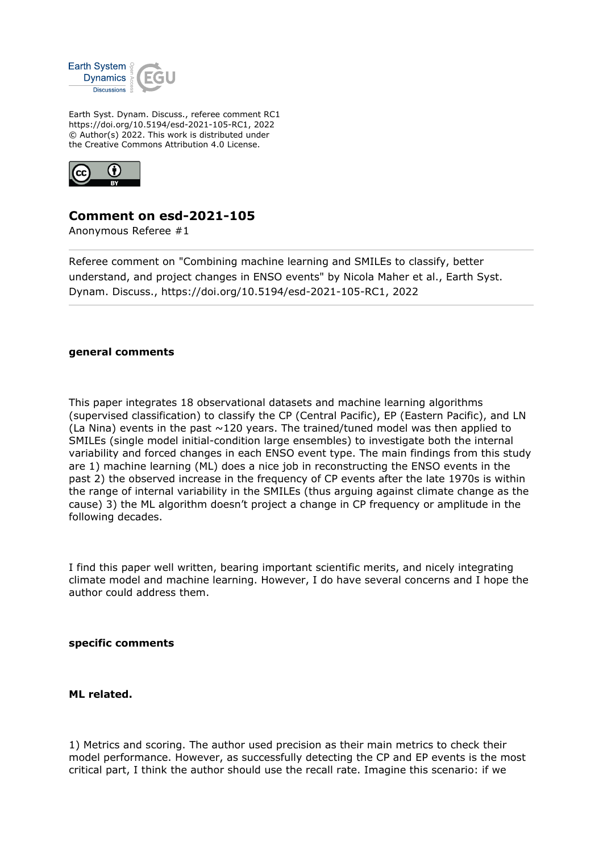

Earth Syst. Dynam. Discuss., referee comment RC1 https://doi.org/10.5194/esd-2021-105-RC1, 2022 © Author(s) 2022. This work is distributed under the Creative Commons Attribution 4.0 License.



## **Comment on esd-2021-105**

Anonymous Referee #1

Referee comment on "Combining machine learning and SMILEs to classify, better understand, and project changes in ENSO events" by Nicola Maher et al., Earth Syst. Dynam. Discuss., https://doi.org/10.5194/esd-2021-105-RC1, 2022

## **general comments**

This paper integrates 18 observational datasets and machine learning algorithms (supervised classification) to classify the CP (Central Pacific), EP (Eastern Pacific), and LN (La Nina) events in the past  $\sim$ 120 years. The trained/tuned model was then applied to SMILEs (single model initial-condition large ensembles) to investigate both the internal variability and forced changes in each ENSO event type. The main findings from this study are 1) machine learning (ML) does a nice job in reconstructing the ENSO events in the past 2) the observed increase in the frequency of CP events after the late 1970s is within the range of internal variability in the SMILEs (thus arguing against climate change as the cause) 3) the ML algorithm doesn't project a change in CP frequency or amplitude in the following decades.

I find this paper well written, bearing important scientific merits, and nicely integrating climate model and machine learning. However, I do have several concerns and I hope the author could address them.

## **specific comments**

## **ML related.**

1) Metrics and scoring. The author used precision as their main metrics to check their model performance. However, as successfully detecting the CP and EP events is the most critical part, I think the author should use the recall rate. Imagine this scenario: if we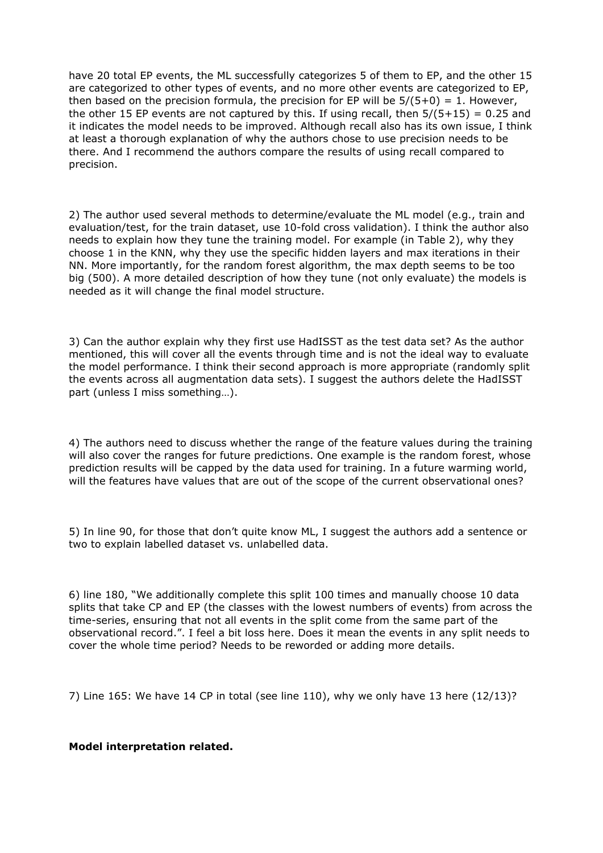have 20 total EP events, the ML successfully categorizes 5 of them to EP, and the other 15 are categorized to other types of events, and no more other events are categorized to EP, then based on the precision formula, the precision for EP will be  $5/(5+0) = 1$ . However, the other 15 EP events are not captured by this. If using recall, then  $5/(5+15) = 0.25$  and it indicates the model needs to be improved. Although recall also has its own issue, I think at least a thorough explanation of why the authors chose to use precision needs to be there. And I recommend the authors compare the results of using recall compared to precision.

2) The author used several methods to determine/evaluate the ML model (e.g., train and evaluation/test, for the train dataset, use 10-fold cross validation). I think the author also needs to explain how they tune the training model. For example (in Table 2), why they choose 1 in the KNN, why they use the specific hidden layers and max iterations in their NN. More importantly, for the random forest algorithm, the max depth seems to be too big (500). A more detailed description of how they tune (not only evaluate) the models is needed as it will change the final model structure.

3) Can the author explain why they first use HadISST as the test data set? As the author mentioned, this will cover all the events through time and is not the ideal way to evaluate the model performance. I think their second approach is more appropriate (randomly split the events across all augmentation data sets). I suggest the authors delete the HadISST part (unless I miss something…).

4) The authors need to discuss whether the range of the feature values during the training will also cover the ranges for future predictions. One example is the random forest, whose prediction results will be capped by the data used for training. In a future warming world, will the features have values that are out of the scope of the current observational ones?

5) In line 90, for those that don't quite know ML, I suggest the authors add a sentence or two to explain labelled dataset vs. unlabelled data.

6) line 180, "We additionally complete this split 100 times and manually choose 10 data splits that take CP and EP (the classes with the lowest numbers of events) from across the time-series, ensuring that not all events in the split come from the same part of the observational record.". I feel a bit loss here. Does it mean the events in any split needs to cover the whole time period? Needs to be reworded or adding more details.

7) Line 165: We have 14 CP in total (see line 110), why we only have 13 here (12/13)?

**Model interpretation related.**